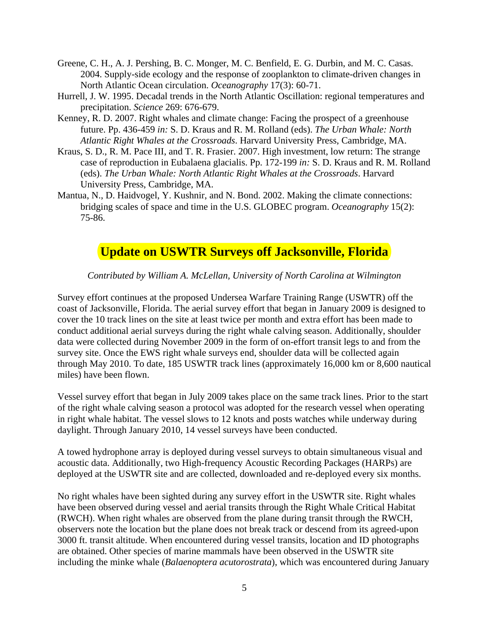- Greene, C. H., A. J. Pershing, B. C. Monger, M. C. Benfield, E. G. Durbin, and M. C. Casas. 2004. Supply-side ecology and the response of zooplankton to climate-driven changes in North Atlantic Ocean circulation. *Oceanography* 17(3): 60-71.
- Hurrell, J. W. 1995. Decadal trends in the North Atlantic Oscillation: regional temperatures and precipitation. *Science* 269: 676-679.
- Kenney, R. D. 2007. Right whales and climate change: Facing the prospect of a greenhouse future. Pp. 436-459 *in:* S. D. Kraus and R. M. Rolland (eds). *The Urban Whale: North Atlantic Right Whales at the Crossroads*. Harvard University Press, Cambridge, MA.
- Kraus, S. D., R. M. Pace III, and T. R. Frasier. 2007. High investment, low return: The strange case of reproduction in Eubalaena glacialis. Pp. 172-199 *in:* S. D. Kraus and R. M. Rolland (eds). *The Urban Whale: North Atlantic Right Whales at the Crossroads*. Harvard University Press, Cambridge, MA.
- Mantua, N., D. Haidvogel, Y. Kushnir, and N. Bond. 2002. Making the climate connections: bridging scales of space and time in the U.S. GLOBEC program. *Oceanography* 15(2): 75-86.

### **Update on USWTR Surveys off Jacksonville, Florida**

*Contributed by William A. McLellan, University of North Carolina at Wilmington* 

Survey effort continues at the proposed Undersea Warfare Training Range (USWTR) off the coast of Jacksonville, Florida. The aerial survey effort that began in January 2009 is designed to cover the 10 track lines on the site at least twice per month and extra effort has been made to conduct additional aerial surveys during the right whale calving season. Additionally, shoulder data were collected during November 2009 in the form of on-effort transit legs to and from the survey site. Once the EWS right whale surveys end, shoulder data will be collected again through May 2010. To date, 185 USWTR track lines (approximately 16,000 km or 8,600 nautical miles) have been flown.

Vessel survey effort that began in July 2009 takes place on the same track lines. Prior to the start of the right whale calving season a protocol was adopted for the research vessel when operating in right whale habitat. The vessel slows to 12 knots and posts watches while underway during daylight. Through January 2010, 14 vessel surveys have been conducted.

A towed hydrophone array is deployed during vessel surveys to obtain simultaneous visual and acoustic data. Additionally, two High-frequency Acoustic Recording Packages (HARPs) are deployed at the USWTR site and are collected, downloaded and re-deployed every six months.

No right whales have been sighted during any survey effort in the USWTR site. Right whales have been observed during vessel and aerial transits through the Right Whale Critical Habitat (RWCH). When right whales are observed from the plane during transit through the RWCH, observers note the location but the plane does not break track or descend from its agreed-upon 3000 ft. transit altitude. When encountered during vessel transits, location and ID photographs are obtained. Other species of marine mammals have been observed in the USWTR site including the minke whale (*Balaenoptera acutorostrata*), which was encountered during January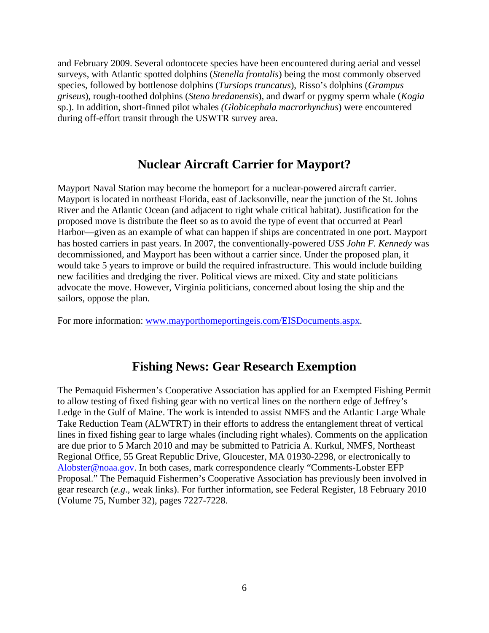and February 2009. Several odontocete species have been encountered during aerial and vessel surveys, with Atlantic spotted dolphins (*Stenella frontalis*) being the most commonly observed species, followed by bottlenose dolphins (*Tursiops truncatus*), Risso's dolphins (*Grampus griseus*), rough-toothed dolphins (*Steno bredanensis*), and dwarf or pygmy sperm whale (*Kogia* sp.). In addition, short-finned pilot whales *(Globicephala macrorhynchus*) were encountered during off-effort transit through the USWTR survey area.

#### **Nuclear Aircraft Carrier for Mayport?**

Mayport Naval Station may become the homeport for a nuclear-powered aircraft carrier. Mayport is located in northeast Florida, east of Jacksonville, near the junction of the St. Johns River and the Atlantic Ocean (and adjacent to right whale critical habitat). Justification for the proposed move is distribute the fleet so as to avoid the type of event that occurred at Pearl Harbor—given as an example of what can happen if ships are concentrated in one port. Mayport has hosted carriers in past years. In 2007, the conventionally-powered *USS John F. Kennedy* was decommissioned, and Mayport has been without a carrier since. Under the proposed plan, it would take 5 years to improve or build the required infrastructure. This would include building new facilities and dredging the river. Political views are mixed. City and state politicians advocate the move. However, Virginia politicians, concerned about losing the ship and the sailors, oppose the plan.

For more information: [www.mayporthomeportingeis.com/EISDocuments.aspx.](http://www.mayporthomeportingeis.com/EISDocuments.aspx)

#### **Fishing News: Gear Research Exemption**

The Pemaquid Fishermen's Cooperative Association has applied for an Exempted Fishing Permit to allow testing of fixed fishing gear with no vertical lines on the northern edge of Jeffrey's Ledge in the Gulf of Maine. The work is intended to assist NMFS and the Atlantic Large Whale Take Reduction Team (ALWTRT) in their efforts to address the entanglement threat of vertical lines in fixed fishing gear to large whales (including right whales). Comments on the application are due prior to 5 March 2010 and may be submitted to Patricia A. Kurkul, NMFS, Northeast Regional Office, 55 Great Republic Drive, Gloucester, MA 01930-2298, or electronically to [Alobster@noaa.gov](mailto:Alobster@noaa.gov). In both cases, mark correspondence clearly "Comments-Lobster EFP Proposal." The Pemaquid Fishermen's Cooperative Association has previously been involved in gear research (*e.g*., weak links). For further information, see Federal Register, 18 February 2010 (Volume 75, Number 32), pages 7227-7228.